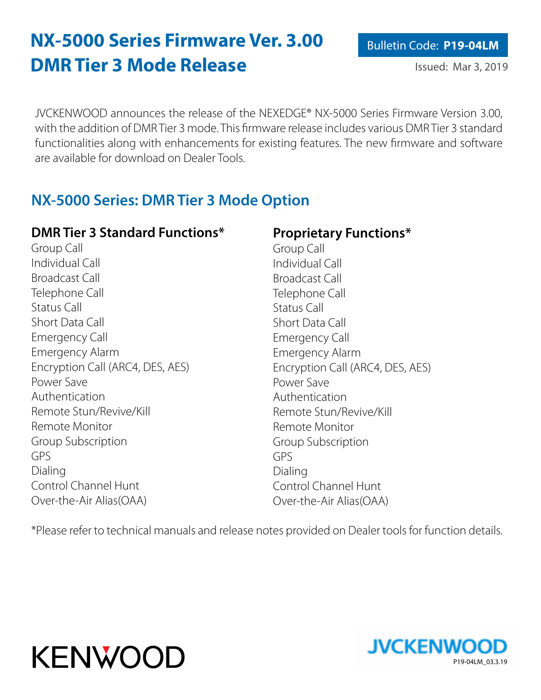# **NX-5000 Series Firmware Ver. 3.00 DMR Tier 3 Mode Release**

JVCKENWOOD announces the release of the NEXEDGE® NX-5000 Series Firmware Version 3.00, with the addition of DMR Tier 3 mode. This firmware release includes various DMR Tier 3 standard functionalities along with enhancements for existing features. The new firmware and software are available for download on Dealer Tools.

## **NX-5000 Series: DMR Tier 3 Mode Option**

### **DMR Tier 3 Standard Functions\***

Group Call Individual Call Broadcast Call Telephone Call Status Call Short Data Call Emergency Call Emergency Alarm Encryption Call (ARC4, DES, AES) Power Save Authentication Remote Stun/Revive/Kill Remote Monitor Group Subscription GPS Dialing Control Channel Hunt Over-the-Air Alias(OAA)

### **Proprietary Functions\***

Group Call Individual Call Broadcast Call Telephone Call Status Call Short Data Call Emergency Call Emergency Alarm Encryption Call (ARC4, DES, AES) Power Save Authentication Remote Stun/Revive/Kill Remote Monitor Group Subscription GPS Dialing Control Channel Hunt Over-the-Air Alias(OAA)

\*Please refer to technical manuals and release notes provided on Dealer tools for function details.